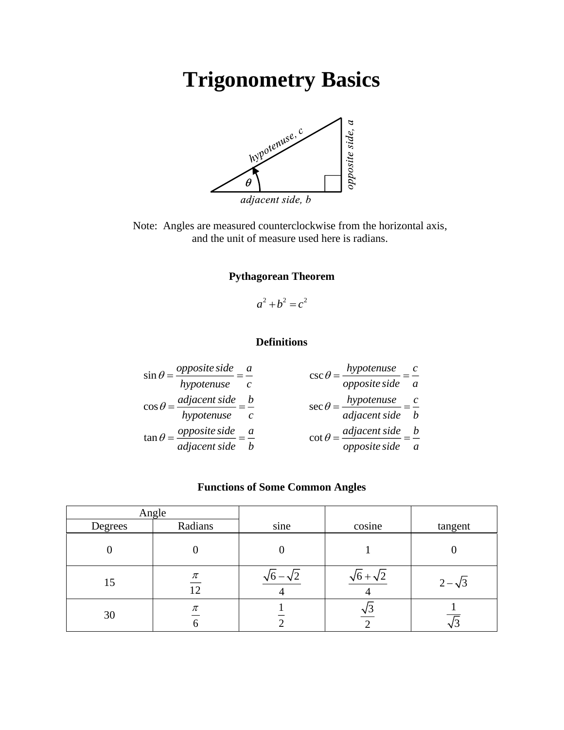# **Trigonometry Basics**



Note: Angles are measured counterclockwise from the horizontal axis, and the unit of measure used here is radians.

### **Pythagorean Theorem**

 $a^2 + b^2 = c^2$ 

### **Definitions**

$$
\sin \theta = \frac{opposite \, side}{hypotenuse} = \frac{a}{c}
$$
\n
$$
\cos \theta = \frac{adjacent \, side}{hypotenuse} = \frac{b}{c}
$$
\n
$$
\cos \theta = \frac{adjacent \, side}{adjacent \, side} = \frac{b}{c}
$$
\n
$$
\cos \theta = \frac{hypotenuse}{adjacent \, side} = \frac{c}{b}
$$
\n
$$
\cos \theta = \frac{adjacent \, side}{adjacent \, side} = \frac{c}{b}
$$
\n
$$
\cot \theta = \frac{adjacent \, side}{opposite \, side} = \frac{b}{a}
$$

### **Functions of Some Common Angles**

| Angle   |             |      |        |                |
|---------|-------------|------|--------|----------------|
| Degrees | Radians     | sine | cosine | tangent        |
|         |             |      |        |                |
| 15      | $\pi$<br>12 |      |        | $2 - \sqrt{3}$ |
| 30      | $\pi$<br>O  |      |        |                |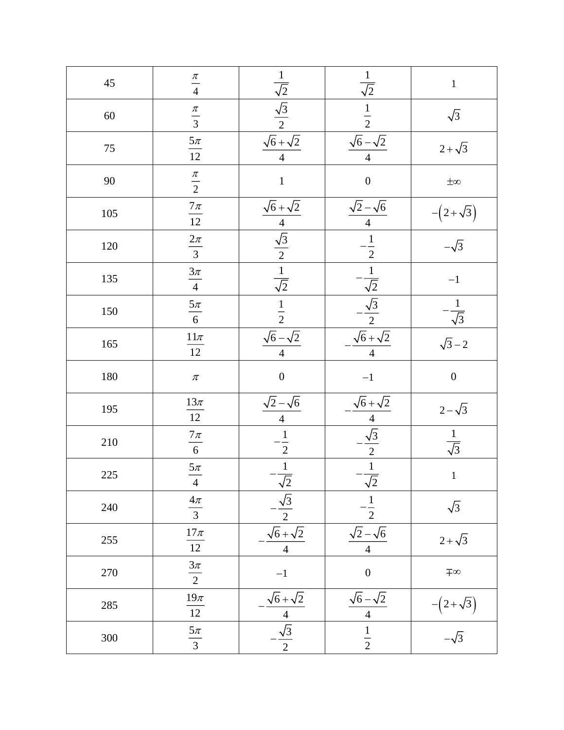| 45      | $\frac{\pi}{4}$                        | $\frac{\frac{1}{\sqrt{2}}}{\frac{\sqrt{3}}{2}}$ $\frac{\sqrt{6} + \sqrt{2}}{4}$              | $rac{1}{\sqrt{2}}$                                                                                                                 | $\mathbf 1$                                  |
|---------|----------------------------------------|----------------------------------------------------------------------------------------------|------------------------------------------------------------------------------------------------------------------------------------|----------------------------------------------|
| 60      | $\frac{\pi}{3}$                        |                                                                                              |                                                                                                                                    | $\sqrt{3}$                                   |
| 75      | $\frac{5\pi}{12}$                      | $\overline{4}$                                                                               | $\frac{\frac{1}{2}}{\frac{\sqrt{6}-\sqrt{2}}{4}}$                                                                                  | $2 + \sqrt{3}$                               |
| 90      | $rac{\pi}{2}$                          | $\mathbf{1}$                                                                                 | $\overline{0}$                                                                                                                     | $\pm\infty$                                  |
| 105     | $\frac{7\pi}{12}$                      |                                                                                              |                                                                                                                                    | $-(2+\sqrt{3})$                              |
| 120     | $\frac{2\pi}{3}$                       | $\frac{\sqrt{6} + \sqrt{2}}{4}$ $\frac{\sqrt{3}}{2}$ $\frac{1}{\sqrt{2}}$                    | $\frac{\sqrt{2}-\sqrt{6}}{4}$<br>$-\frac{1}{2}$<br>$-\frac{1}{\sqrt{2}}$<br>$-\frac{\sqrt{3}}{2}$<br>$\frac{\sqrt{6}+\sqrt{2}}{4}$ | $\frac{1}{-\sqrt{3}}$                        |
| 135     | $\frac{3\pi}{4}$                       |                                                                                              |                                                                                                                                    | $-1$                                         |
| 150     | $\frac{5\pi}{6}$                       | $\frac{1}{2}$                                                                                |                                                                                                                                    | $-\frac{1}{\sqrt{3}}$                        |
| 165     | $\frac{11\pi}{12}$                     | $\frac{\sqrt{6}-\sqrt{2}}{4}$                                                                |                                                                                                                                    | $\sqrt{3}-2$                                 |
|         |                                        |                                                                                              |                                                                                                                                    |                                              |
| 180     | $\pi$                                  | $\overline{0}$                                                                               | $-1\,$                                                                                                                             | $\boldsymbol{0}$                             |
| 195     |                                        |                                                                                              |                                                                                                                                    | $2 - \sqrt{3}$                               |
| 210     | $\frac{13\pi}{12}$                     |                                                                                              |                                                                                                                                    | $\frac{1}{\sqrt{3}}$                         |
| $225\,$ | $\frac{7\pi}{6}$<br>$\frac{5\pi}{4}$   | $\frac{\sqrt{2}-\sqrt{6}}{4}$ $-\frac{1}{2}$                                                 |                                                                                                                                    | $\mathbf{1}$                                 |
| 240     | $\frac{4\pi}{3}$                       |                                                                                              | $\frac{\frac{\sqrt{6} + \sqrt{2}}{4}}{\frac{\sqrt{3}}{2}}$ $\frac{1}{\sqrt{2}}$<br>$\overline{2}$                                  | $\sqrt{3}$                                   |
| 255     | $\frac{17\pi}{12}$                     |                                                                                              | $\sqrt{2}-\sqrt{6}$<br>$\overline{4}$                                                                                              | $2 + \sqrt{3}$                               |
| 270     | $\frac{3\pi}{2}$                       | $\frac{-\frac{1}{\sqrt{2}}}{-\frac{\sqrt{3}}{2}}$<br>$\frac{\sqrt{6} + \sqrt{2}}{4}$<br>$-1$ | $\overline{0}$                                                                                                                     | ∓∞                                           |
| 285     | $\frac{19\pi}{12}$<br>$\frac{5\pi}{3}$ | $\frac{\frac{\sqrt{6}+\sqrt{2}}{4}}{-\frac{\sqrt{3}}{2}}$                                    | $\frac{\sqrt{6}-\sqrt{2}}{4}$                                                                                                      | $\frac{-\left(2+\sqrt{3}\right)}{-\sqrt{3}}$ |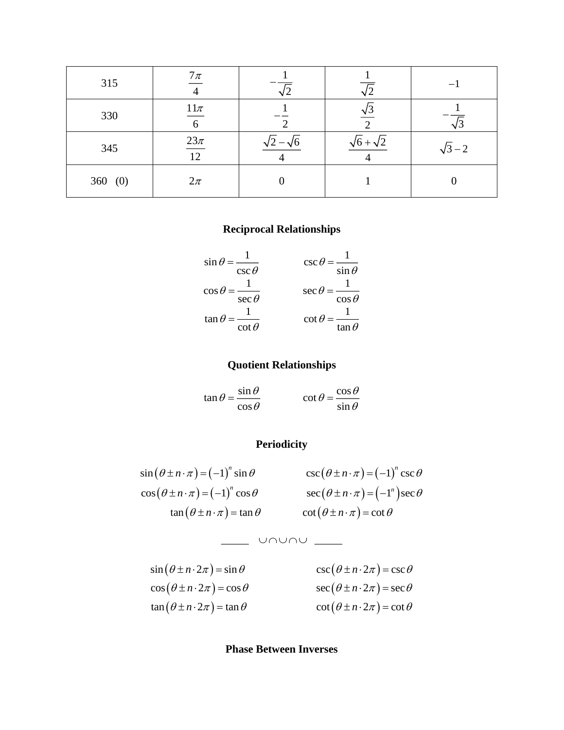| 315    | $7\pi$                    |                     |                       |                |
|--------|---------------------------|---------------------|-----------------------|----------------|
| 330    | $11\pi$<br>$\overline{6}$ |                     | $\sqrt{3}$            |                |
| 345    | $\frac{23\pi}{12}$        | $\sqrt{2}-\sqrt{6}$ | $\sqrt{6} + \sqrt{2}$ | $\sqrt{3} - 2$ |
| 360(0) | $2\pi$                    |                     |                       |                |

# **Reciprocal Relationships**

$$
\sin \theta = \frac{1}{\csc \theta} \qquad \qquad \csc \theta = \frac{1}{\sin \theta}
$$

$$
\cos \theta = \frac{1}{\sec \theta} \qquad \qquad \sec \theta = \frac{1}{\cos \theta}
$$

$$
\tan \theta = \frac{1}{\cot \theta} \qquad \qquad \cot \theta = \frac{1}{\tan \theta}
$$

# **Quotient Relationships**

 $\tan \theta = \frac{\sin \theta}{\sin \theta}$ cos  $\theta = \frac{\sin \theta}{\cos \theta}$  $=\frac{1}{\cos \theta}$  $\cot \theta = \frac{\cos \theta}{\cos \theta}$ sin  $\theta = \frac{\cos \theta}{\cos \theta}$  $=\frac{1}{\sin \theta}$ 

# **Periodicity**

$$
\sin(\theta \pm n \cdot \pi) = (-1)^n \sin \theta \qquad \csc(\theta \pm n \cdot \pi) = (-1)^n \csc \theta
$$
  
\n
$$
\cos(\theta \pm n \cdot \pi) = (-1)^n \cos \theta \qquad \sec(\theta \pm n \cdot \pi) = (-1)^n \sec \theta
$$
  
\n
$$
\tan(\theta \pm n \cdot \pi) = \tan \theta \qquad \cot(\theta \pm n \cdot \pi) = \cot \theta
$$

$$
\_\_ \cup \_\_ \cup \_\_ \_ \_
$$

| $\sin(\theta \pm n \cdot 2\pi) = \sin \theta$ | $\csc(\theta \pm n \cdot 2\pi) = \csc \theta$ |
|-----------------------------------------------|-----------------------------------------------|
| $\cos(\theta \pm n \cdot 2\pi) = \cos \theta$ | $\sec(\theta \pm n \cdot 2\pi) = \sec \theta$ |
| $\tan(\theta \pm n \cdot 2\pi) = \tan \theta$ | $\cot(\theta \pm n \cdot 2\pi) = \cot \theta$ |

## **Phase Between Inverses**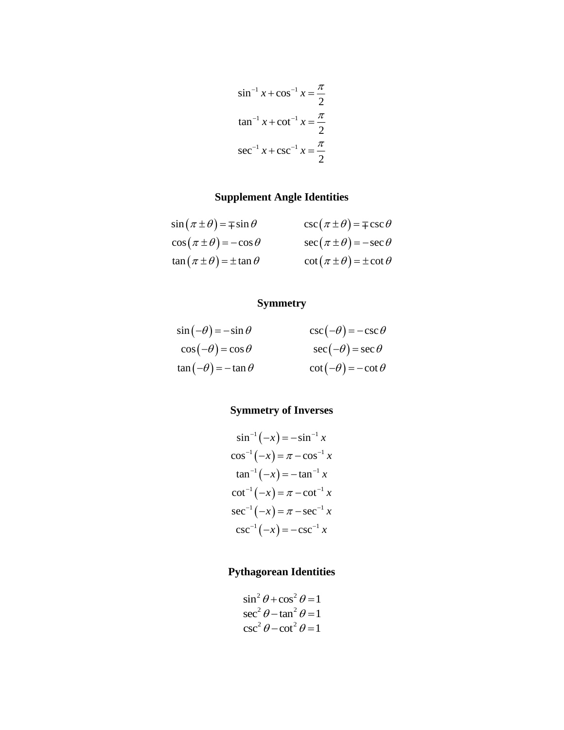$$
\sin^{-1} x + \cos^{-1} x = \frac{\pi}{2}
$$
  
\n
$$
\tan^{-1} x + \cot^{-1} x = \frac{\pi}{2}
$$
  
\n
$$
\sec^{-1} x + \csc^{-1} x = \frac{\pi}{2}
$$

# **Supplement Angle Identities**

| $\sin(\pi \pm \theta) = \mp \sin \theta$ | $\csc(\pi \pm \theta) = \mp \csc \theta$ |
|------------------------------------------|------------------------------------------|
| $\cos(\pi \pm \theta) = -\cos\theta$     | $\sec(\pi \pm \theta) = -\sec \theta$    |
| $\tan(\pi \pm \theta) = \pm \tan \theta$ | $\cot(\pi \pm \theta) = \pm \cot \theta$ |

# **Symmetry**

$$
\sin(-\theta) = -\sin \theta \qquad \qquad \csc(-\theta) = -\csc \theta
$$
  
\n
$$
\cos(-\theta) = \cos \theta \qquad \qquad \sec(-\theta) = \sec \theta
$$
  
\n
$$
\tan(-\theta) = -\tan \theta \qquad \qquad \cot(-\theta) = -\cot \theta
$$

# **Symmetry of Inverses**

$$
\sin^{-1}(-x) = -\sin^{-1} x
$$
  
\n
$$
\cos^{-1}(-x) = \pi - \cos^{-1} x
$$
  
\n
$$
\tan^{-1}(-x) = -\tan^{-1} x
$$
  
\n
$$
\cot^{-1}(-x) = \pi - \cot^{-1} x
$$
  
\n
$$
\sec^{-1}(-x) = \pi - \sec^{-1} x
$$
  
\n
$$
\csc^{-1}(-x) = -\csc^{-1} x
$$

# **Pythagorean Identities**

$$
\sin^2 \theta + \cos^2 \theta = 1
$$
  
\n
$$
\sec^2 \theta - \tan^2 \theta = 1
$$
  
\n
$$
\csc^2 \theta - \cot^2 \theta = 1
$$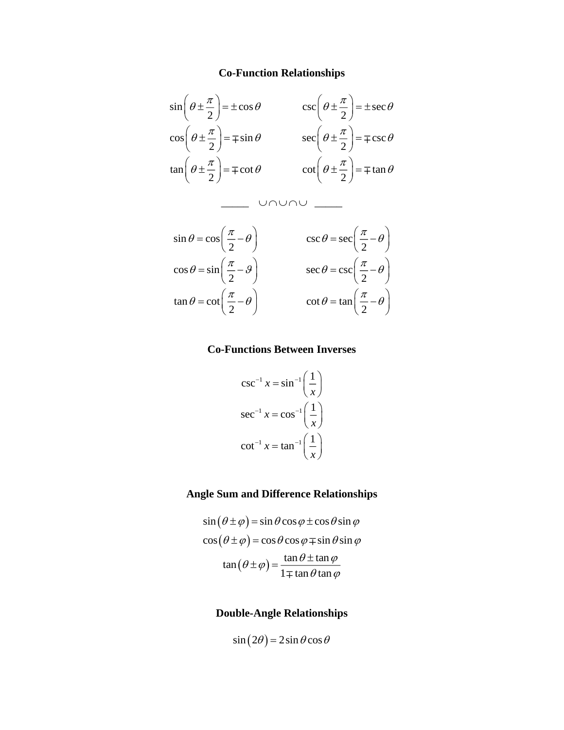#### **Co-Function Relationships**



#### **Co-Functions Between Inverses**

$$
\csc^{-1} x = \sin^{-1} \left( \frac{1}{x} \right)
$$

$$
\sec^{-1} x = \cos^{-1} \left( \frac{1}{x} \right)
$$

$$
\cot^{-1} x = \tan^{-1} \left( \frac{1}{x} \right)
$$

#### **Angle Sum and Difference Relationships**

$$
\sin(\theta \pm \varphi) = \sin \theta \cos \varphi \pm \cos \theta \sin \varphi
$$

$$
\cos(\theta \pm \varphi) = \cos \theta \cos \varphi \mp \sin \theta \sin \varphi
$$

$$
\tan(\theta \pm \varphi) = \frac{\tan \theta \pm \tan \varphi}{1 \mp \tan \theta \tan \varphi}
$$

#### **Double-Angle Relationships**

$$
\sin(2\theta) = 2\sin\theta\cos\theta
$$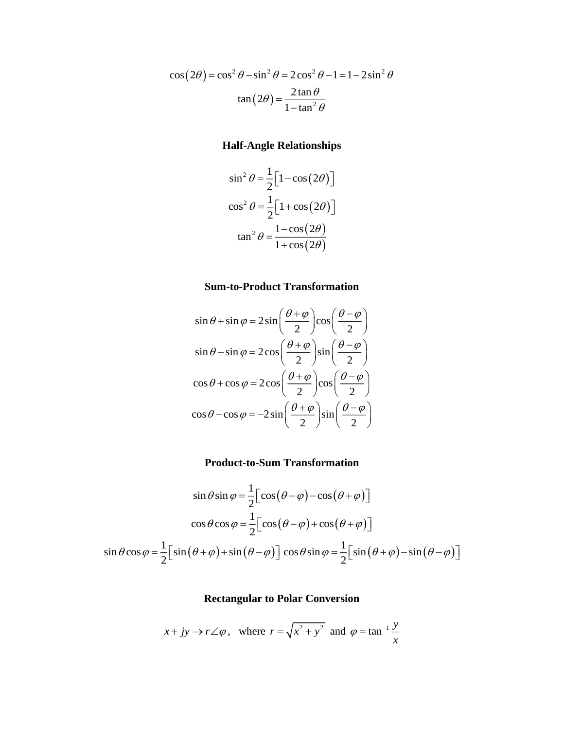$$
\cos(2\theta) = \cos^2 \theta - \sin^2 \theta = 2\cos^2 \theta - 1 = 1 - 2\sin^2 \theta
$$

$$
\tan(2\theta) = \frac{2\tan\theta}{1 - \tan^2 \theta}
$$

# **Half-Angle Relationships**

$$
\sin^2 \theta = \frac{1}{2} \Big[ 1 - \cos(2\theta) \Big]
$$

$$
\cos^2 \theta = \frac{1}{2} \Big[ 1 + \cos(2\theta) \Big]
$$

$$
\tan^2 \theta = \frac{1 - \cos(2\theta)}{1 + \cos(2\theta)}
$$

# **Sum-to-Product Transformation**

$$
\sin \theta + \sin \varphi = 2 \sin \left( \frac{\theta + \varphi}{2} \right) \cos \left( \frac{\theta - \varphi}{2} \right)
$$
  

$$
\sin \theta - \sin \varphi = 2 \cos \left( \frac{\theta + \varphi}{2} \right) \sin \left( \frac{\theta - \varphi}{2} \right)
$$
  

$$
\cos \theta + \cos \varphi = 2 \cos \left( \frac{\theta + \varphi}{2} \right) \cos \left( \frac{\theta - \varphi}{2} \right)
$$
  

$$
\cos \theta - \cos \varphi = -2 \sin \left( \frac{\theta + \varphi}{2} \right) \sin \left( \frac{\theta - \varphi}{2} \right)
$$

# **Product-to-Sum Transformation**

$$
\sin \theta \sin \varphi = \frac{1}{2} \Big[ \cos (\theta - \varphi) - \cos (\theta + \varphi) \Big]
$$

$$
\cos \theta \cos \varphi = \frac{1}{2} \Big[ \cos (\theta - \varphi) + \cos (\theta + \varphi) \Big]
$$

$$
\sin \theta \cos \varphi = \frac{1}{2} \Big[ \sin (\theta + \varphi) + \sin (\theta - \varphi) \Big] \cos \theta \sin \varphi = \frac{1}{2} \Big[ \sin (\theta + \varphi) - \sin (\theta - \varphi) \Big]
$$

## **Rectangular to Polar Conversion**

$$
x + jy \rightarrow r \angle \varphi
$$
, where  $r = \sqrt{x^2 + y^2}$  and  $\varphi = \tan^{-1} \frac{y}{x}$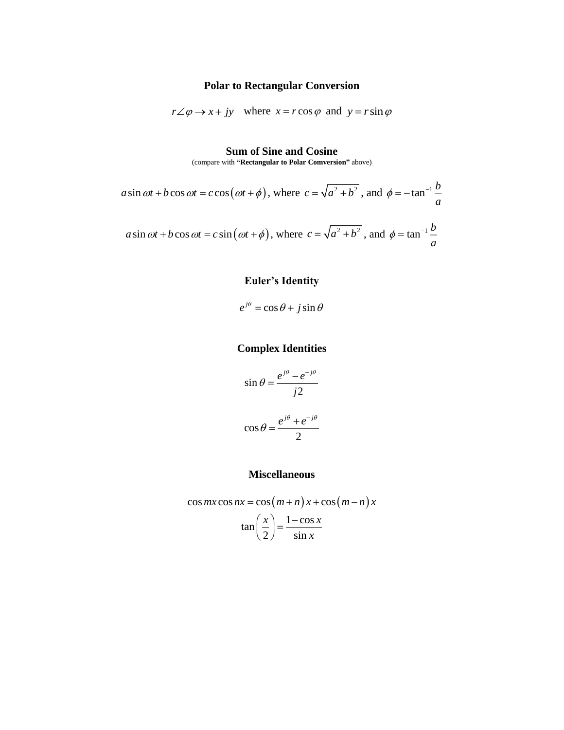## **Polar to Rectangular Conversion**

$$
r\angle \varphi \rightarrow x + jy
$$
 where  $x = r \cos \varphi$  and  $y = r \sin \varphi$ 

#### **Sum of Sine and Cosine**

(compare with **"Rectangular to Polar Comversion"** above)

$$
a\sin \omega t + b\cos \omega t = c\cos(\omega t + \phi)
$$
, where  $c = \sqrt{a^2 + b^2}$ , and  $\phi = -\tan^{-1}\frac{b}{a}$   
 $a\sin \omega t + b\cos \omega t = c\sin(\omega t + \phi)$ , where  $c = \sqrt{a^2 + b^2}$ , and  $\phi = \tan^{-1}\frac{b}{a}$ 

# **Euler's Identity**

$$
e^{j\theta} = \cos\theta + j\sin\theta
$$

# **Complex Identities**

$$
\sin \theta = \frac{e^{j\theta} - e^{-j\theta}}{j2}
$$

$$
\cos \theta = \frac{e^{j\theta} + e^{-j\theta}}{2}
$$

# **Miscellaneous**

$$
\cos mx \cos nx = \cos \left(m + n\right) x + \cos \left(m - n\right) x
$$

$$
\tan \left(\frac{x}{2}\right) = \frac{1 - \cos x}{\sin x}
$$